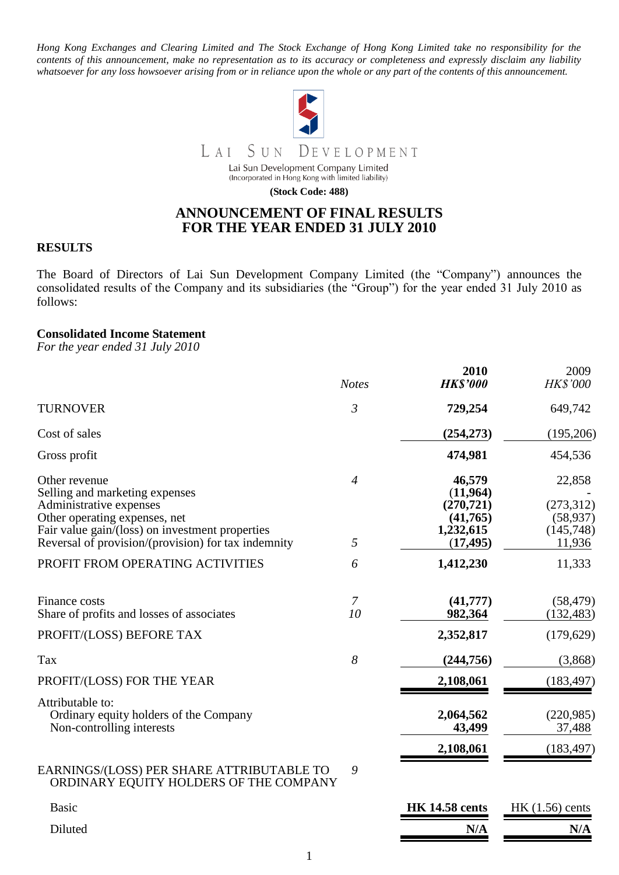*Hong Kong Exchanges and Clearing Limited and The Stock Exchange of Hong Kong Limited take no responsibility for the contents of this announcement, make no representation as to its accuracy or completeness and expressly disclaim any liability whatsoever for any loss howsoever arising from or in reliance upon the whole or any part of the contents of this announcement.*



LAI SUN DEVELOPMENT

Lai Sun Development Company Limited (Incorporated in Hong Kong with limited liability)

**(Stock Code: 488)**

# **ANNOUNCEMENT OF FINAL RESULTS FOR THE YEAR ENDED 31 JULY 2010**

### **RESULTS**

The Board of Directors of Lai Sun Development Company Limited (the "Company") announces the consolidated results of the Company and its subsidiaries (the "Group") for the year ended 31 July 2010 as follows:

### **Consolidated Income Statement**

*For the year ended 31 July 2010*

|                                                                                         | <b>Notes</b>     | 2010<br><b>HK\$'000</b> | 2009<br><b>HK\$'000</b> |
|-----------------------------------------------------------------------------------------|------------------|-------------------------|-------------------------|
| <b>TURNOVER</b>                                                                         | $\mathfrak{Z}$   | 729,254                 | 649,742                 |
| Cost of sales                                                                           |                  | (254, 273)              | (195,206)               |
| Gross profit                                                                            |                  | 474,981                 | 454,536                 |
| Other revenue<br>Selling and marketing expenses                                         | $\overline{4}$   | 46,579<br>(11,964)      | 22,858                  |
| Administrative expenses                                                                 |                  | (270, 721)              | (273,312)               |
| Other operating expenses, net                                                           |                  | (41,765)                | (58, 937)               |
| Fair value gain/(loss) on investment properties                                         |                  | 1,232,615               | (145,748)               |
| Reversal of provision/(provision) for tax indemnity                                     | 5                | (17, 495)               | 11,936                  |
| PROFIT FROM OPERATING ACTIVITIES                                                        | 6                | 1,412,230               | 11,333                  |
| <b>Finance costs</b><br>Share of profits and losses of associates                       | 10               | (41,777)<br>982,364     | (58, 479)<br>(132, 483) |
|                                                                                         |                  |                         |                         |
| PROFIT/(LOSS) BEFORE TAX                                                                |                  | 2,352,817               | (179, 629)              |
| Tax                                                                                     | $\boldsymbol{8}$ | (244, 756)              | (3,868)                 |
| PROFIT/(LOSS) FOR THE YEAR                                                              |                  | 2,108,061               | (183, 497)              |
| Attributable to:<br>Ordinary equity holders of the Company<br>Non-controlling interests |                  | 2,064,562<br>43,499     | (220,985)<br>37,488     |
|                                                                                         |                  | 2,108,061               | (183, 497)              |
| EARNINGS/(LOSS) PER SHARE ATTRIBUTABLE TO<br>ORDINARY EQUITY HOLDERS OF THE COMPANY     | 9                |                         |                         |
| <b>Basic</b>                                                                            |                  | <b>HK 14.58 cents</b>   | HK $(1.56)$ cents       |
| Diluted                                                                                 |                  | N/A                     | N/A                     |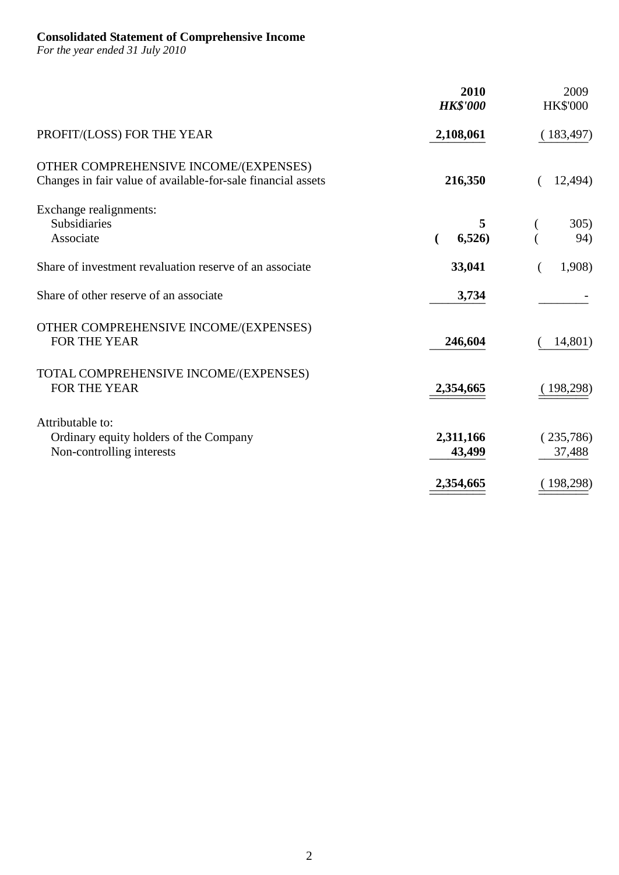### **Consolidated Statement of Comprehensive Income**

*For the year ended 31 July 2010*

|                                                                                                       | 2010<br><b>HK\$'000</b> | 2009<br><b>HK\$'000</b> |
|-------------------------------------------------------------------------------------------------------|-------------------------|-------------------------|
| PROFIT/(LOSS) FOR THE YEAR                                                                            | 2,108,061               | 183,497)                |
| OTHER COMPREHENSIVE INCOME/(EXPENSES)<br>Changes in fair value of available-for-sale financial assets | 216,350                 | 12,494)                 |
| Exchange realignments:<br>Subsidiaries<br>Associate                                                   | 6,526)                  | 305)<br>94)             |
| Share of investment revaluation reserve of an associate                                               | 33,041                  | 1,908)                  |
| Share of other reserve of an associate                                                                | 3,734                   |                         |
| OTHER COMPREHENSIVE INCOME/(EXPENSES)<br>FOR THE YEAR                                                 | 246,604                 | 14,801)                 |
| TOTAL COMPREHENSIVE INCOME/(EXPENSES)<br>FOR THE YEAR                                                 | 2,354,665               | 198,298)                |
| Attributable to:<br>Ordinary equity holders of the Company<br>Non-controlling interests               | 2,311,166<br>43,499     | (235,786)<br>37,488     |
|                                                                                                       | 2,354,665               | 198,298)                |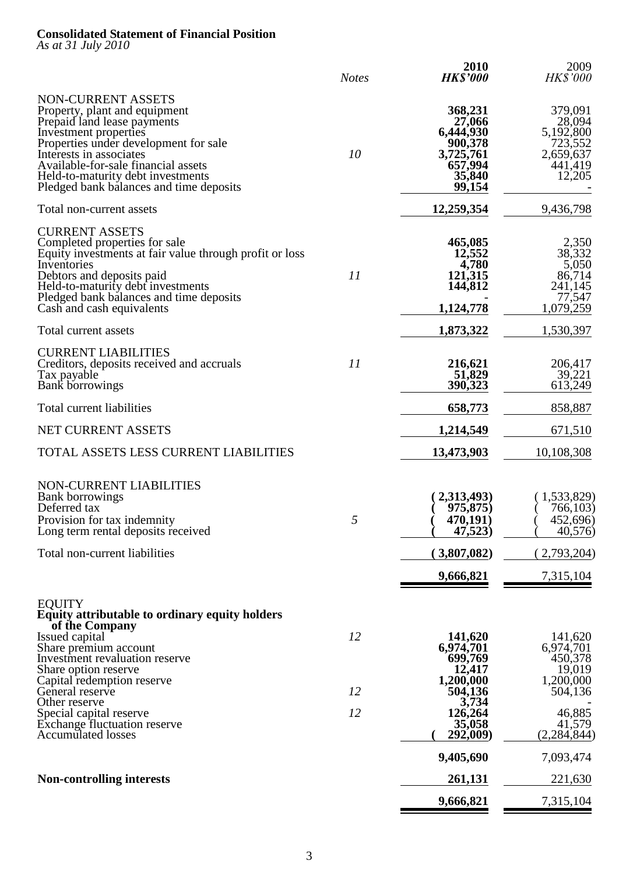### **Consolidated Statement of Financial Position**

*As at 31 July 2010*

|                                                                                                                                                                                                                                                                                                        | <b>Notes</b> | 2010<br><b>HK\$'000</b>                                                               | 2009<br><i>HK\$'000</i>                                                     |
|--------------------------------------------------------------------------------------------------------------------------------------------------------------------------------------------------------------------------------------------------------------------------------------------------------|--------------|---------------------------------------------------------------------------------------|-----------------------------------------------------------------------------|
| NON-CURRENT ASSETS<br>Property, plant and equipment<br>Prepaid land lease payments<br>Investment properties<br>Properties under development for sale<br>Interests in associates<br>Available-for-sale financial assets<br>Held-to-maturity debt investments<br>Pledged bank balances and time deposits | 10           | 368,231<br>27,066<br>6,444,930<br>900,378<br>3,725,761<br>657,994<br>35,840<br>99,154 | 379,091<br>28,094<br>5,192,800<br>723,552<br>2,659,637<br>441,419<br>12,205 |
| Total non-current assets                                                                                                                                                                                                                                                                               |              | 12,259,354                                                                            | 9,436,798                                                                   |
| <b>CURRENT ASSETS</b><br>Completed properties for sale<br>Equity investments at fair value through profit or loss<br>Inventories<br>Debtors and deposits paid<br>Held-to-maturity debt investments<br>Pledged bank balances and time deposits<br>Cash and cash equivalents                             | 11           | 465,085<br>12,552<br>4,780<br>121,315<br>144,812<br>1,124,778                         | 2,350<br>38,332<br>5,050<br>86,714<br>241,145<br>77,547<br>1,079,259        |
| Total current assets                                                                                                                                                                                                                                                                                   |              | 1,873,322                                                                             | 1,530,397                                                                   |
| <b>CURRENT LIABILITIES</b><br>Creditors, deposits received and accruals<br>Tax payable<br><b>Bank</b> borrowings                                                                                                                                                                                       | 11           | 216,621<br>51,829<br>390,323                                                          | 206,417<br>39,221<br>613,249                                                |
| Total current liabilities                                                                                                                                                                                                                                                                              |              | 658,773                                                                               | 858,887                                                                     |
| NET CURRENT ASSETS                                                                                                                                                                                                                                                                                     |              | 1,214,549                                                                             | 671,510                                                                     |
| TOTAL ASSETS LESS CURRENT LIABILITIES                                                                                                                                                                                                                                                                  |              | 13,473,903                                                                            | 10,108,308                                                                  |
| <b>NON-CURRENT LIABILITIES</b><br><b>Bank borrowings</b><br>Deferred tax<br>Provision for tax indemnity<br>Long term rental deposits received                                                                                                                                                          | 5            | 2,313,493)<br>975,875)<br>470,191)<br>47,523)                                         | 1,533,829)<br>766,103)<br>452,696)<br>40,576)                               |
| Total non-current liabilities                                                                                                                                                                                                                                                                          |              | 3,807,082)                                                                            | 2,793,204)                                                                  |
|                                                                                                                                                                                                                                                                                                        |              | 9,666,821                                                                             | 7,315,104                                                                   |
| <b>EQUITY</b><br><b>Equity attributable to ordinary equity holders</b><br>of the Company<br>Issued capital                                                                                                                                                                                             | 12           | 141,620                                                                               | 141,620                                                                     |
| Share premium account<br>Investment revaluation reserve<br>Share option reserve<br>Capital redemption reserve                                                                                                                                                                                          |              | 6,974,701<br>699,769<br>12,417<br>1,200,000                                           | 6,974,701<br>450,378<br>19,019<br>1,200,000                                 |
| General reserve<br>Other reserve                                                                                                                                                                                                                                                                       | 12           | 504,136<br>3,734                                                                      | 504,136                                                                     |
| Special capital reserve<br><b>Exchange fluctuation reserve</b><br><b>Accumulated losses</b>                                                                                                                                                                                                            | 12           | 126,264<br>35,058<br>292,009)                                                         | 46,885<br>41,579<br>(2, 284, 844)                                           |
|                                                                                                                                                                                                                                                                                                        |              | 9,405,690                                                                             | 7,093,474                                                                   |
| <b>Non-controlling interests</b>                                                                                                                                                                                                                                                                       |              | 261,131                                                                               | 221,630                                                                     |
|                                                                                                                                                                                                                                                                                                        |              | 9,666,821                                                                             | 7,315,104                                                                   |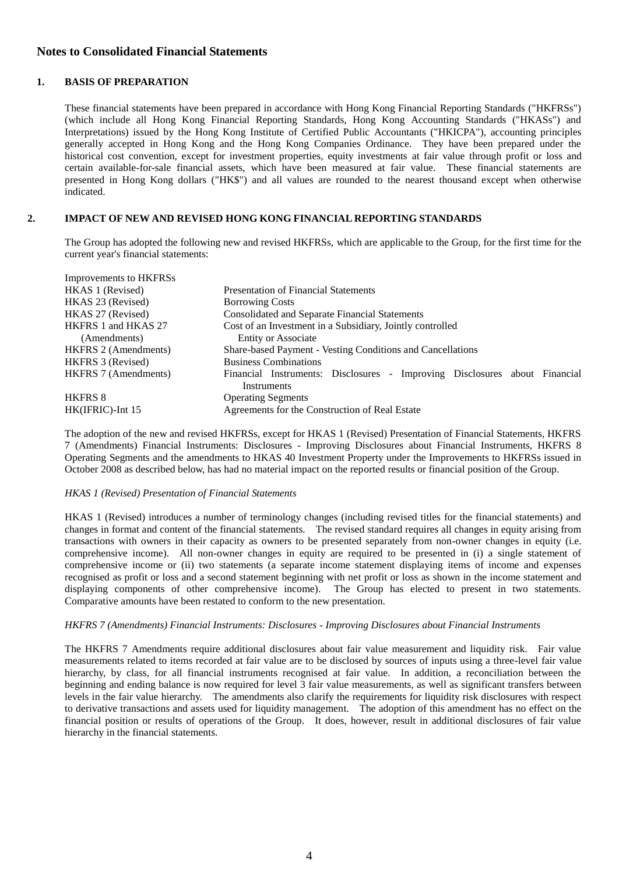### **Notes to Consolidated Financial Statements**

#### **1. BASIS OF PREPARATION**

These financial statements have been prepared in accordance with Hong Kong Financial Reporting Standards ("HKFRSs") (which include all Hong Kong Financial Reporting Standards, Hong Kong Accounting Standards ("HKASs") and Interpretations) issued by the Hong Kong Institute of Certified Public Accountants ("HKICPA"), accounting principles generally accepted in Hong Kong and the Hong Kong Companies Ordinance. They have been prepared under the historical cost convention, except for investment properties, equity investments at fair value through profit or loss and certain available-for-sale financial assets, which have been measured at fair value. These financial statements are presented in Hong Kong dollars ("HK\$") and all values are rounded to the nearest thousand except when otherwise indicated.

#### **2. IMPACT OF NEW AND REVISED HONG KONG FINANCIAL REPORTING STANDARDS**

The Group has adopted the following new and revised HKFRSs, which are applicable to the Group, for the first time for the current year's financial statements:

| Improvements to HKFRSs      |                                                                                           |
|-----------------------------|-------------------------------------------------------------------------------------------|
| HKAS 1 (Revised)            | <b>Presentation of Financial Statements</b>                                               |
| HKAS 23 (Revised)           | <b>Borrowing Costs</b>                                                                    |
| HKAS 27 (Revised)           | Consolidated and Separate Financial Statements                                            |
| HKFRS 1 and HKAS 27         | Cost of an Investment in a Subsidiary, Jointly controlled                                 |
| (Amendments)                | <b>Entity or Associate</b>                                                                |
| <b>HKFRS 2 (Amendments)</b> | Share-based Payment - Vesting Conditions and Cancellations                                |
| HKFRS 3 (Revised)           | <b>Business Combinations</b>                                                              |
| <b>HKFRS 7 (Amendments)</b> | Financial Instruments: Disclosures - Improving Disclosures about Financial<br>Instruments |
| <b>HKFRS 8</b>              | <b>Operating Segments</b>                                                                 |
| $HK(IFRIC)$ -Int 15         | Agreements for the Construction of Real Estate                                            |

The adoption of the new and revised HKFRSs, except for HKAS 1 (Revised) Presentation of Financial Statements, HKFRS 7 (Amendments) Financial Instruments: Disclosures - Improving Disclosures about Financial Instruments, HKFRS 8 Operating Segments and the amendments to HKAS 40 Investment Property under the Improvements to HKFRSs issued in October 2008 as described below, has had no material impact on the reported results or financial position of the Group.

#### *HKAS 1 (Revised) Presentation of Financial Statements*

HKAS 1 (Revised) introduces a number of terminology changes (including revised titles for the financial statements) and changes in format and content of the financial statements. The revised standard requires all changes in equity arising from transactions with owners in their capacity as owners to be presented separately from non-owner changes in equity (i.e. comprehensive income). All non-owner changes in equity are required to be presented in (i) a single statement of comprehensive income or (ii) two statements (a separate income statement displaying items of income and expenses recognised as profit or loss and a second statement beginning with net profit or loss as shown in the income statement and displaying components of other comprehensive income). The Group has elected to present in two statements. Comparative amounts have been restated to conform to the new presentation.

#### *HKFRS 7 (Amendments) Financial Instruments: Disclosures - Improving Disclosures about Financial Instruments*

The HKFRS 7 Amendments require additional disclosures about fair value measurement and liquidity risk. Fair value measurements related to items recorded at fair value are to be disclosed by sources of inputs using a three-level fair value hierarchy, by class, for all financial instruments recognised at fair value. In addition, a reconciliation between the beginning and ending balance is now required for level 3 fair value measurements, as well as significant transfers between levels in the fair value hierarchy. The amendments also clarify the requirements for liquidity risk disclosures with respect to derivative transactions and assets used for liquidity management. The adoption of this amendment has no effect on the financial position or results of operations of the Group. It does, however, result in additional disclosures of fair value hierarchy in the financial statements.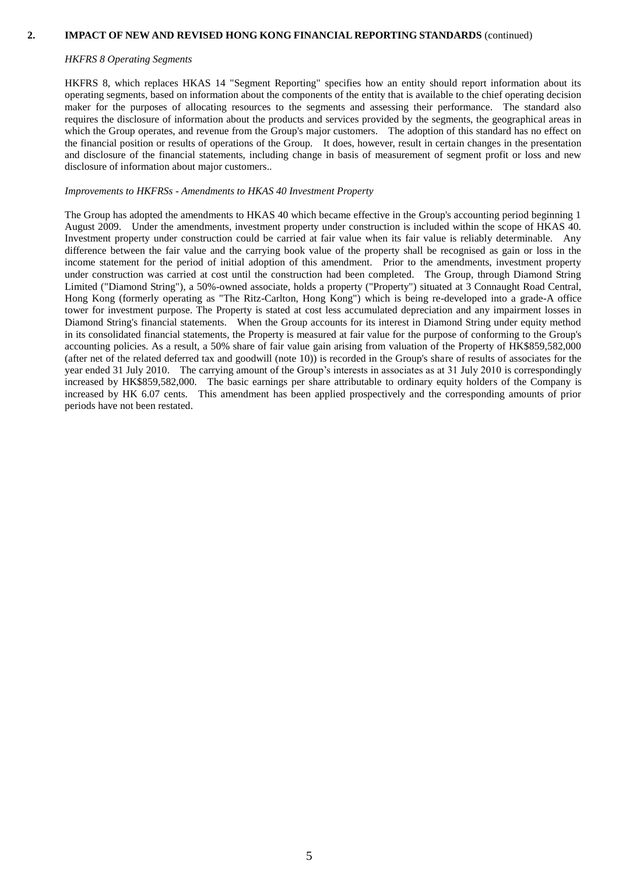#### **2. IMPACT OF NEW AND REVISED HONG KONG FINANCIAL REPORTING STANDARDS** (continued)

#### *HKFRS 8 Operating Segments*

HKFRS 8, which replaces HKAS 14 "Segment Reporting" specifies how an entity should report information about its operating segments, based on information about the components of the entity that is available to the chief operating decision maker for the purposes of allocating resources to the segments and assessing their performance. The standard also requires the disclosure of information about the products and services provided by the segments, the geographical areas in which the Group operates, and revenue from the Group's major customers. The adoption of this standard has no effect on the financial position or results of operations of the Group. It does, however, result in certain changes in the presentation and disclosure of the financial statements, including change in basis of measurement of segment profit or loss and new disclosure of information about major customers..

#### *Improvements to HKFRSs - Amendments to HKAS 40 Investment Property*

The Group has adopted the amendments to HKAS 40 which became effective in the Group's accounting period beginning 1 August 2009. Under the amendments, investment property under construction is included within the scope of HKAS 40. Investment property under construction could be carried at fair value when its fair value is reliably determinable. Any difference between the fair value and the carrying book value of the property shall be recognised as gain or loss in the income statement for the period of initial adoption of this amendment. Prior to the amendments, investment property under construction was carried at cost until the construction had been completed. The Group, through Diamond String Limited ("Diamond String"), a 50%-owned associate, holds a property ("Property") situated at 3 Connaught Road Central, Hong Kong (formerly operating as "The Ritz-Carlton, Hong Kong") which is being re-developed into a grade-A office tower for investment purpose. The Property is stated at cost less accumulated depreciation and any impairment losses in Diamond String's financial statements. When the Group accounts for its interest in Diamond String under equity method in its consolidated financial statements, the Property is measured at fair value for the purpose of conforming to the Group's accounting policies. As a result, a 50% share of fair value gain arising from valuation of the Property of HK\$859,582,000 (after net of the related deferred tax and goodwill (note 10)) is recorded in the Group's share of results of associates for the year ended 31 July 2010. The carrying amount of the Group's interests in associates as at 31 July 2010 is correspondingly increased by HK\$859,582,000. The basic earnings per share attributable to ordinary equity holders of the Company is increased by HK 6.07 cents. This amendment has been applied prospectively and the corresponding amounts of prior periods have not been restated.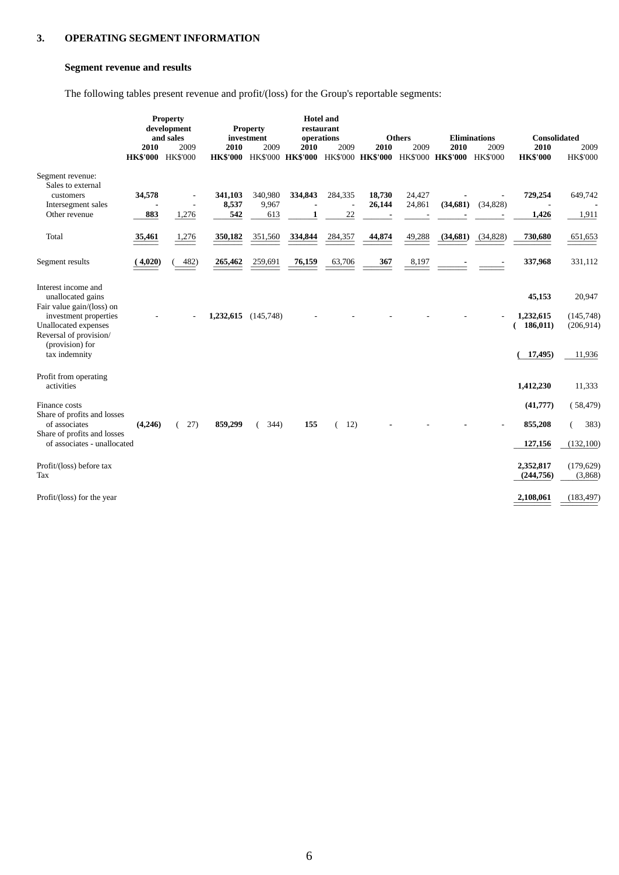### **3. OPERATING SEGMENT INFORMATION**

### **Segment revenue and results**

The following tables present revenue and profit/(loss) for the Group's reportable segments:

|                                                                             | 2010<br><b>HK\$'000 HK\$'000</b> | <b>Property</b><br>development<br>and sales<br>2009 | 2010         | <b>Property</b><br>investment<br>2009 | <b>Hotel</b> and<br>restaurant<br>operations<br>2010 | 2009    | 2010   | <b>Others</b><br>2009 | 2010<br>HK\$'000 HK\$'000 HK\$'000 HK\$'000 HK\$'000 HK\$'000 HK\$'000 HK\$'000 | <b>Eliminations</b><br>2009 | <b>Consolidated</b><br>2010<br><b>HK\$'000</b> | 2009<br><b>HK\$'000</b>  |
|-----------------------------------------------------------------------------|----------------------------------|-----------------------------------------------------|--------------|---------------------------------------|------------------------------------------------------|---------|--------|-----------------------|---------------------------------------------------------------------------------|-----------------------------|------------------------------------------------|--------------------------|
| Segment revenue:<br>Sales to external                                       |                                  |                                                     |              |                                       |                                                      |         |        |                       |                                                                                 |                             |                                                |                          |
| customers                                                                   | 34,578                           |                                                     | 341,103      | 340,980                               | 334,843                                              | 284,335 | 18,730 | 24,427                |                                                                                 |                             | 729,254                                        | 649,742                  |
| Intersegment sales<br>Other revenue                                         | 883                              | 1,276                                               | 8,537<br>542 | 9,967<br>613                          | 1                                                    | ÷<br>22 | 26,144 | 24,861                | (34, 681)                                                                       | (34, 828)                   | 1,426                                          | 1,911                    |
| Total                                                                       | 35,461                           | 1,276                                               | 350,182      | 351,560                               | 334,844                                              | 284,357 | 44,874 | 49,288                | (34, 681)                                                                       | (34, 828)                   | 730,680                                        | 651,653                  |
| Segment results                                                             | (4,020)                          | 482)                                                | 265,462      | 259,691                               | 76,159                                               | 63,706  | 367    | 8,197                 |                                                                                 |                             | 337,968                                        | 331,112                  |
| Interest income and<br>unallocated gains<br>Fair value gain/(loss) on       |                                  |                                                     |              |                                       |                                                      |         |        |                       |                                                                                 |                             | 45,153                                         | 20,947                   |
| investment properties<br>Unallocated expenses<br>Reversal of provision/     |                                  |                                                     | 1,232,615    | (145,748)                             |                                                      |         |        |                       |                                                                                 |                             | 1,232,615<br>186,011)                          | (145, 748)<br>(206, 914) |
| (provision) for<br>tax indemnity                                            |                                  |                                                     |              |                                       |                                                      |         |        |                       |                                                                                 |                             | 17,495)                                        | 11,936                   |
| Profit from operating<br>activities                                         |                                  |                                                     |              |                                       |                                                      |         |        |                       |                                                                                 |                             | 1,412,230                                      | 11,333                   |
| Finance costs<br>Share of profits and losses                                |                                  |                                                     |              |                                       |                                                      |         |        |                       |                                                                                 |                             | (41,777)                                       | (58, 479)                |
| of associates<br>Share of profits and losses<br>of associates - unallocated | (4,246)                          | 27)                                                 | 859,299      | 344)                                  | 155                                                  | 12)     |        |                       |                                                                                 |                             | 855,208<br>127,156                             | 383)<br>€<br>(132, 100)  |
|                                                                             |                                  |                                                     |              |                                       |                                                      |         |        |                       |                                                                                 |                             |                                                |                          |
| Profit/(loss) before tax<br>Tax                                             |                                  |                                                     |              |                                       |                                                      |         |        |                       |                                                                                 |                             | 2,352,817<br>(244, 756)                        | (179, 629)<br>(3,868)    |
| Profit/(loss) for the year                                                  |                                  |                                                     |              |                                       |                                                      |         |        |                       |                                                                                 |                             | 2,108,061                                      | (183, 497)               |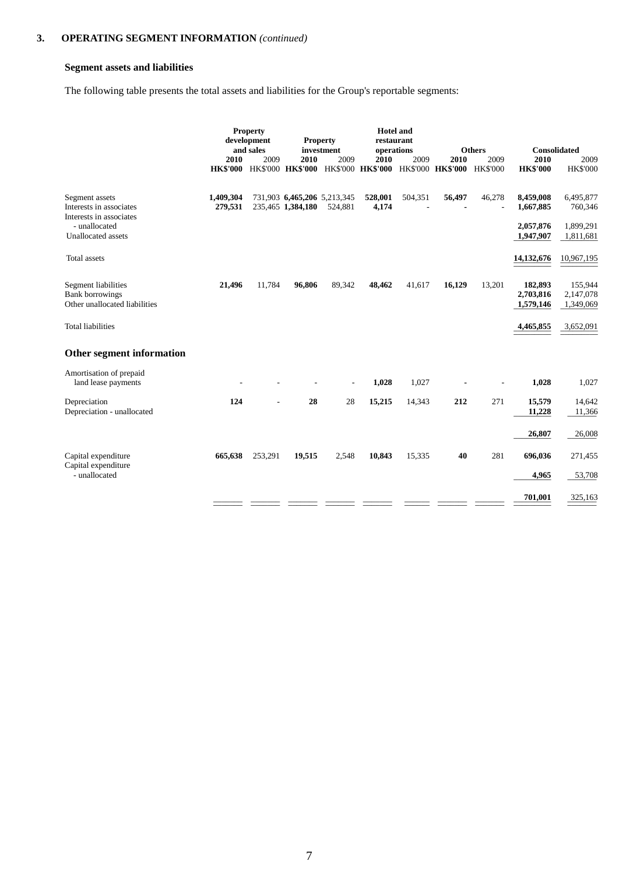### **Segment assets and liabilities**

The following table presents the total assets and liabilities for the Group's reportable segments:

|                                                                                | 2010<br><b>HK\$'000</b> | <b>Property</b><br>development<br>and sales<br>2009 | <b>Property</b><br>2010<br>HK\$'000 HK\$'000 HK\$'000 HK\$'000 | investment<br>2009 | <b>Hotel and</b><br>restaurant<br>operations<br><b>2010</b> | 2009    | 2010<br><b>HK\$'000 HK\$'000</b>                                                                                                                                                                                                                                                                                                                                                                                                                                                       | <b>Others</b><br>2009<br><b>HK\$'000</b> | Consolidated<br>2010<br><b>HK\$'000</b> | 2009<br><b>HK\$'000</b>              |
|--------------------------------------------------------------------------------|-------------------------|-----------------------------------------------------|----------------------------------------------------------------|--------------------|-------------------------------------------------------------|---------|----------------------------------------------------------------------------------------------------------------------------------------------------------------------------------------------------------------------------------------------------------------------------------------------------------------------------------------------------------------------------------------------------------------------------------------------------------------------------------------|------------------------------------------|-----------------------------------------|--------------------------------------|
| Segment assets<br>Interests in associates<br>Interests in associates           | 1,409,304<br>279,531    |                                                     | 731,903 6,465,206 5,213,345<br>235,465 1,384,180 524,881       |                    | 528,001<br>4,174                                            | 504,351 | 56,497                                                                                                                                                                                                                                                                                                                                                                                                                                                                                 | 46,278                                   | 8,459,008<br>1,667,885                  | 6,495,877<br>760,346                 |
| - unallocated<br>Unallocated assets<br>Total assets                            |                         |                                                     |                                                                |                    |                                                             |         |                                                                                                                                                                                                                                                                                                                                                                                                                                                                                        |                                          | 2,057,876<br>1,947,907<br>14,132,676    | 1,899,291<br>1,811,681<br>10,967,195 |
| Segment liabilities<br><b>Bank borrowings</b><br>Other unallocated liabilities | 21,496                  | 11,784                                              | 96,806                                                         | 89,342             | 48,462                                                      | 41,617  | 16,129                                                                                                                                                                                                                                                                                                                                                                                                                                                                                 | 13,201                                   | 182,893<br>2,703,816<br>1,579,146       | 155,944<br>2,147,078<br>1,349,069    |
| <b>Total liabilities</b>                                                       |                         |                                                     |                                                                |                    |                                                             |         |                                                                                                                                                                                                                                                                                                                                                                                                                                                                                        |                                          | 4,465,855                               | 3,652,091                            |
| Other segment information                                                      |                         |                                                     |                                                                |                    |                                                             |         |                                                                                                                                                                                                                                                                                                                                                                                                                                                                                        |                                          |                                         |                                      |
| Amortisation of prepaid<br>land lease payments                                 |                         |                                                     |                                                                |                    | 1,028                                                       | 1,027   | $\overline{\phantom{a}}$                                                                                                                                                                                                                                                                                                                                                                                                                                                               |                                          | 1,028                                   | 1,027                                |
| Depreciation<br>Depreciation - unallocated                                     | 124                     | $\sim$                                              | 28                                                             | 28                 | 15,215                                                      | 14,343  | 212                                                                                                                                                                                                                                                                                                                                                                                                                                                                                    | 271                                      | 15,579<br>11,228                        | 14,642<br>11,366                     |
|                                                                                |                         |                                                     |                                                                |                    |                                                             |         |                                                                                                                                                                                                                                                                                                                                                                                                                                                                                        |                                          | 26,807                                  | 26,008                               |
| Capital expenditure<br>Capital expenditure<br>- unallocated                    | 665,638                 | 253,291                                             | 19,515                                                         | 2,548              | 10,843                                                      | 15,335  | 40                                                                                                                                                                                                                                                                                                                                                                                                                                                                                     | 281                                      | 696,036<br>4,965                        | 271,455<br>53,708                    |
|                                                                                |                         |                                                     |                                                                |                    |                                                             |         | $\begin{array}{cccccccccc} \multicolumn{3}{c}{} & \multicolumn{3}{c}{} & \multicolumn{3}{c}{} & \multicolumn{3}{c}{} & \multicolumn{3}{c}{} & \multicolumn{3}{c}{} & \multicolumn{3}{c}{} & \multicolumn{3}{c}{} & \multicolumn{3}{c}{} & \multicolumn{3}{c}{} & \multicolumn{3}{c}{} & \multicolumn{3}{c}{} & \multicolumn{3}{c}{} & \multicolumn{3}{c}{} & \multicolumn{3}{c}{} & \multicolumn{3}{c}{} & \multicolumn{3}{c}{} & \multicolumn{3}{c}{} & \multicolumn{3}{c}{} & \mult$ |                                          | 701,001                                 | 325,163                              |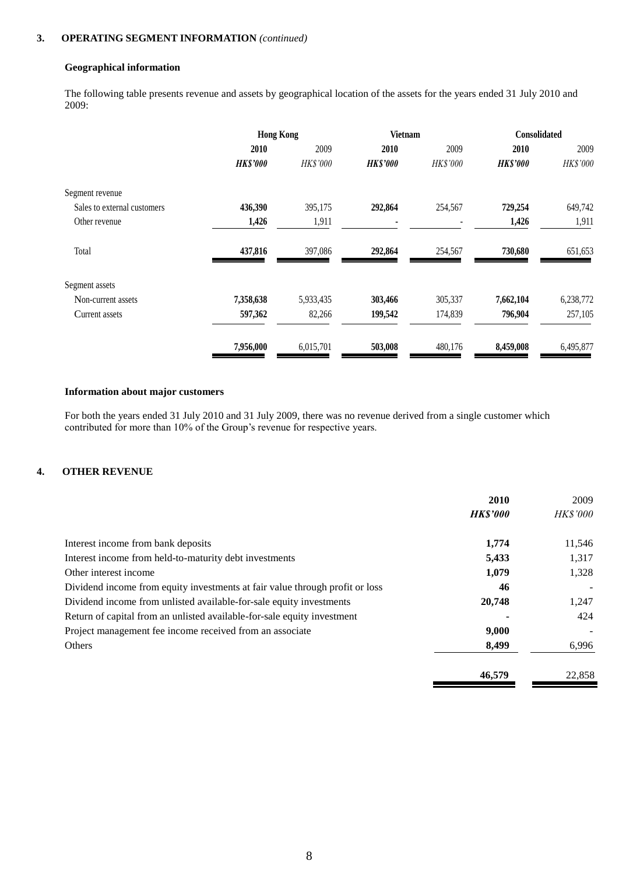### **3. OPERATING SEGMENT INFORMATION** *(continued)*

#### **Geographical information**

The following table presents revenue and assets by geographical location of the assets for the years ended 31 July 2010 and 2009:

|                             | <b>Hong Kong</b> |           | <b>Vietnam</b>  |          | Consolidated    |           |  |
|-----------------------------|------------------|-----------|-----------------|----------|-----------------|-----------|--|
|                             | 2010             | 2009      | 2010            | 2009     | 2010            | 2009      |  |
|                             | <b>HK\$'000</b>  | HK\$'000  | <b>HK\$'000</b> | HK\$'000 | <b>HK\$'000</b> | HK\$'000  |  |
| Segment revenue             |                  |           |                 |          |                 |           |  |
| Sales to external customers | 436,390          | 395,175   | 292,864         | 254,567  | 729,254         | 649,742   |  |
| Other revenue               | 1,426            | 1,911     |                 |          | 1,426           | 1,911     |  |
| Total                       | 437,816          | 397,086   | 292,864         | 254,567  | 730,680         | 651,653   |  |
| Segment assets              |                  |           |                 |          |                 |           |  |
| Non-current assets          | 7,358,638        | 5,933,435 | 303,466         | 305,337  | 7,662,104       | 6,238,772 |  |
| Current assets              | 597,362          | 82,266    | 199,542         | 174,839  | 796,904         | 257,105   |  |
|                             | 7,956,000        | 6,015,701 | 503,008         | 480,176  | 8,459,008       | 6,495,877 |  |

### **Information about major customers**

For both the years ended 31 July 2010 and 31 July 2009, there was no revenue derived from a single customer which contributed for more than 10% of the Group's revenue for respective years.

### **4. OTHER REVENUE**

|                                                                              | 2010            | 2009            |
|------------------------------------------------------------------------------|-----------------|-----------------|
|                                                                              | <b>HK\$'000</b> | <i>HK\$'000</i> |
| Interest income from bank deposits                                           | 1.774           | 11,546          |
| Interest income from held-to-maturity debt investments                       | 5,433           | 1,317           |
| Other interest income                                                        | 1,079           | 1,328           |
| Dividend income from equity investments at fair value through profit or loss | 46              |                 |
| Dividend income from unlisted available-for-sale equity investments          | 20,748          | 1,247           |
| Return of capital from an unlisted available-for-sale equity investment      |                 | 424             |
| Project management fee income received from an associate                     | 9,000           |                 |
| Others                                                                       | 8,499           | 6,996           |
|                                                                              | 46,579          | 22.858          |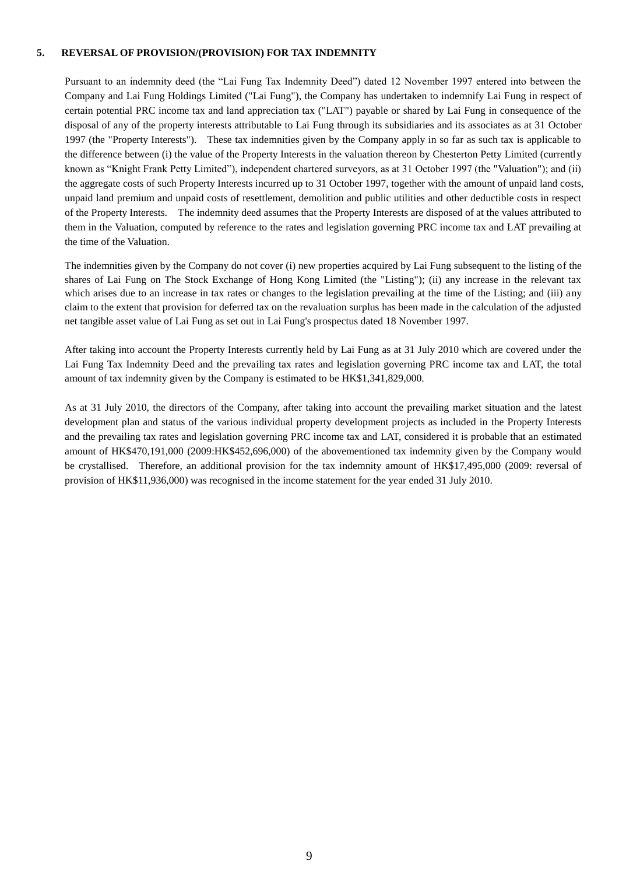#### **5. REVERSAL OF PROVISION/(PROVISION) FOR TAX INDEMNITY**

Pursuant to an indemnity deed (the "Lai Fung Tax Indemnity Deed") dated 12 November 1997 entered into between the Company and Lai Fung Holdings Limited ("Lai Fung"), the Company has undertaken to indemnify Lai Fung in respect of certain potential PRC income tax and land appreciation tax ("LAT") payable or shared by Lai Fung in consequence of the disposal of any of the property interests attributable to Lai Fung through its subsidiaries and its associates as at 31 October 1997 (the "Property Interests"). These tax indemnities given by the Company apply in so far as such tax is applicable to the difference between (i) the value of the Property Interests in the valuation thereon by Chesterton Petty Limited (currently known as "Knight Frank Petty Limited"), independent chartered surveyors, as at 31 October 1997 (the "Valuation"); and (ii) the aggregate costs of such Property Interests incurred up to 31 October 1997, together with the amount of unpaid land costs, unpaid land premium and unpaid costs of resettlement, demolition and public utilities and other deductible costs in respect of the Property Interests. The indemnity deed assumes that the Property Interests are disposed of at the values attributed to them in the Valuation, computed by reference to the rates and legislation governing PRC income tax and LAT prevailing at the time of the Valuation.

The indemnities given by the Company do not cover (i) new properties acquired by Lai Fung subsequent to the listing of the shares of Lai Fung on The Stock Exchange of Hong Kong Limited (the "Listing"); (ii) any increase in the relevant tax which arises due to an increase in tax rates or changes to the legislation prevailing at the time of the Listing; and (iii) any claim to the extent that provision for deferred tax on the revaluation surplus has been made in the calculation of the adjusted net tangible asset value of Lai Fung as set out in Lai Fung's prospectus dated 18 November 1997.

After taking into account the Property Interests currently held by Lai Fung as at 31 July 2010 which are covered under the Lai Fung Tax Indemnity Deed and the prevailing tax rates and legislation governing PRC income tax and LAT, the total amount of tax indemnity given by the Company is estimated to be HK\$1,341,829,000.

As at 31 July 2010, the directors of the Company, after taking into account the prevailing market situation and the latest development plan and status of the various individual property development projects as included in the Property Interests and the prevailing tax rates and legislation governing PRC income tax and LAT, considered it is probable that an estimated amount of HK\$470,191,000 (2009:HK\$452,696,000) of the abovementioned tax indemnity given by the Company would be crystallised. Therefore, an additional provision for the tax indemnity amount of HK\$17,495,000 (2009: reversal of provision of HK\$11,936,000) was recognised in the income statement for the year ended 31 July 2010.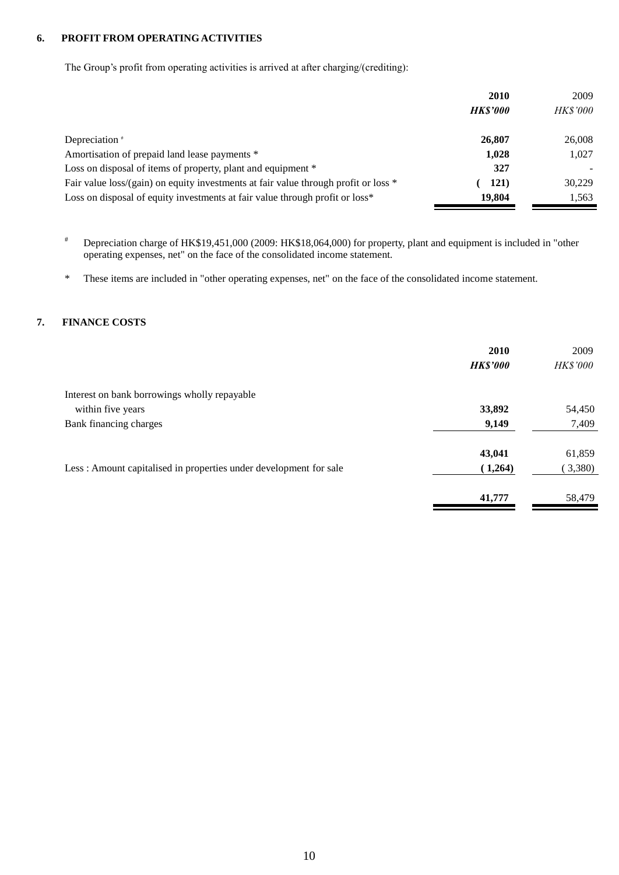#### **6. PROFIT FROM OPERATING ACTIVITIES**

The Group's profit from operating activities is arrived at after charging/(crediting):

|                                                                                     | 2010           | 2009            |
|-------------------------------------------------------------------------------------|----------------|-----------------|
|                                                                                     | <b>HKS'000</b> | <i>HK\$'000</i> |
| Depreciation *                                                                      | 26,807         | 26,008          |
| Amortisation of prepaid land lease payments *                                       | 1,028          | 1,027           |
| Loss on disposal of items of property, plant and equipment *                        | 327            |                 |
| Fair value loss/(gain) on equity investments at fair value through profit or loss * | <b>121</b> )   | 30,229          |
| Loss on disposal of equity investments at fair value through profit or loss*        | 19,804         | 1,563           |

# Depreciation charge of HK\$19,451,000 (2009: HK\$18,064,000) for property, plant and equipment is included in "other operating expenses, net" on the face of the consolidated income statement.

\* These items are included in "other operating expenses, net" on the face of the consolidated income statement.

### **7. FINANCE COSTS**

|                                                                    | 2010<br><b>HK\$'000</b> | 2009<br><b>HK\$'000</b> |
|--------------------------------------------------------------------|-------------------------|-------------------------|
| Interest on bank borrowings wholly repayable                       |                         |                         |
| within five years                                                  | 33,892                  | 54,450                  |
| Bank financing charges                                             | 9,149                   | 7,409                   |
|                                                                    | 43,041                  | 61,859                  |
| Less : Amount capitalised in properties under development for sale | (1,264)                 | (3,380)                 |
|                                                                    | 41,777                  | 58,479                  |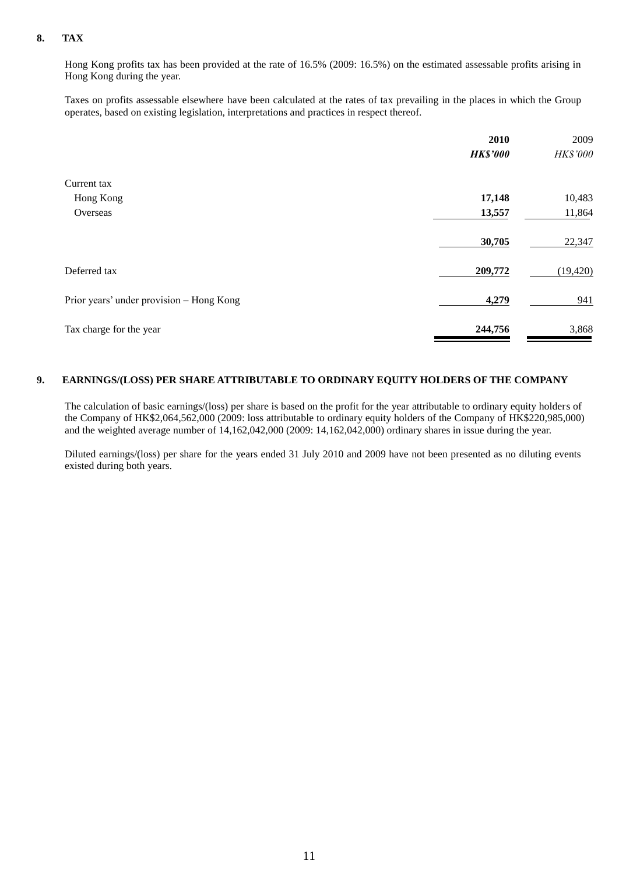### **8. TAX**

Hong Kong profits tax has been provided at the rate of 16.5% (2009: 16.5%) on the estimated assessable profits arising in Hong Kong during the year.

Taxes on profits assessable elsewhere have been calculated at the rates of tax prevailing in the places in which the Group operates, based on existing legislation, interpretations and practices in respect thereof.

|                                          | 2010            | 2009      |
|------------------------------------------|-----------------|-----------|
|                                          | <b>HK\$'000</b> | HK\$'000  |
| Current tax                              |                 |           |
| Hong Kong                                | 17,148          | 10,483    |
| Overseas                                 | 13,557          | 11,864    |
|                                          | 30,705          | 22,347    |
| Deferred tax                             | 209,772         | (19, 420) |
| Prior years' under provision - Hong Kong | 4,279           | 941       |
| Tax charge for the year                  | 244,756         | 3,868     |

#### **9. EARNINGS/(LOSS) PER SHARE ATTRIBUTABLE TO ORDINARY EQUITY HOLDERS OF THE COMPANY**

The calculation of basic earnings/(loss) per share is based on the profit for the year attributable to ordinary equity holders of the Company of HK\$2,064,562,000 (2009: loss attributable to ordinary equity holders of the Company of HK\$220,985,000) and the weighted average number of 14,162,042,000 (2009: 14,162,042,000) ordinary shares in issue during the year.

Diluted earnings/(loss) per share for the years ended 31 July 2010 and 2009 have not been presented as no diluting events existed during both years.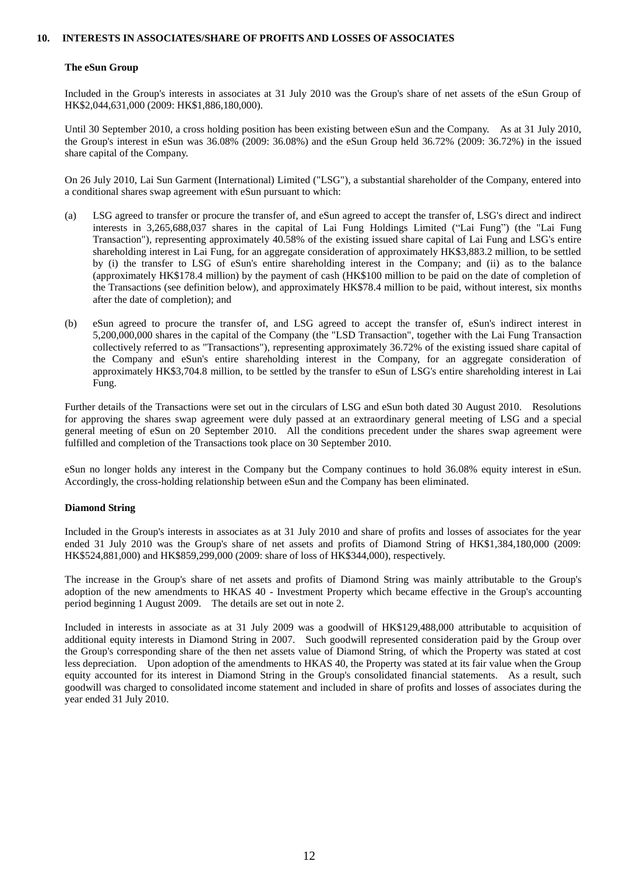#### **10. INTERESTS IN ASSOCIATES/SHARE OF PROFITS AND LOSSES OF ASSOCIATES**

#### **The eSun Group**

Included in the Group's interests in associates at 31 July 2010 was the Group's share of net assets of the eSun Group of HK\$2,044,631,000 (2009: HK\$1,886,180,000).

Until 30 September 2010, a cross holding position has been existing between eSun and the Company. As at 31 July 2010, the Group's interest in eSun was 36.08% (2009: 36.08%) and the eSun Group held 36.72% (2009: 36.72%) in the issued share capital of the Company.

On 26 July 2010, Lai Sun Garment (International) Limited ("LSG"), a substantial shareholder of the Company, entered into a conditional shares swap agreement with eSun pursuant to which:

- (a) LSG agreed to transfer or procure the transfer of, and eSun agreed to accept the transfer of, LSG's direct and indirect interests in 3,265,688,037 shares in the capital of Lai Fung Holdings Limited ("Lai Fung") (the "Lai Fung Transaction"), representing approximately 40.58% of the existing issued share capital of Lai Fung and LSG's entire shareholding interest in Lai Fung, for an aggregate consideration of approximately HK\$3,883.2 million, to be settled by (i) the transfer to LSG of eSun's entire shareholding interest in the Company; and (ii) as to the balance (approximately HK\$178.4 million) by the payment of cash (HK\$100 million to be paid on the date of completion of the Transactions (see definition below), and approximately HK\$78.4 million to be paid, without interest, six months after the date of completion); and
- (b) eSun agreed to procure the transfer of, and LSG agreed to accept the transfer of, eSun's indirect interest in 5,200,000,000 shares in the capital of the Company (the "LSD Transaction", together with the Lai Fung Transaction collectively referred to as "Transactions"), representing approximately 36.72% of the existing issued share capital of the Company and eSun's entire shareholding interest in the Company, for an aggregate consideration of approximately HK\$3,704.8 million, to be settled by the transfer to eSun of LSG's entire shareholding interest in Lai Fung.

Further details of the Transactions were set out in the circulars of LSG and eSun both dated 30 August 2010. Resolutions for approving the shares swap agreement were duly passed at an extraordinary general meeting of LSG and a special general meeting of eSun on 20 September 2010. All the conditions precedent under the shares swap agreement were fulfilled and completion of the Transactions took place on 30 September 2010.

eSun no longer holds any interest in the Company but the Company continues to hold 36.08% equity interest in eSun. Accordingly, the cross-holding relationship between eSun and the Company has been eliminated.

#### **Diamond String**

Included in the Group's interests in associates as at 31 July 2010 and share of profits and losses of associates for the year ended 31 July 2010 was the Group's share of net assets and profits of Diamond String of HK\$1,384,180,000 (2009: HK\$524,881,000) and HK\$859,299,000 (2009: share of loss of HK\$344,000), respectively.

The increase in the Group's share of net assets and profits of Diamond String was mainly attributable to the Group's adoption of the new amendments to HKAS 40 - Investment Property which became effective in the Group's accounting period beginning 1 August 2009. The details are set out in note 2.

Included in interests in associate as at 31 July 2009 was a goodwill of HK\$129,488,000 attributable to acquisition of additional equity interests in Diamond String in 2007. Such goodwill represented consideration paid by the Group over the Group's corresponding share of the then net assets value of Diamond String, of which the Property was stated at cost less depreciation. Upon adoption of the amendments to HKAS 40, the Property was stated at its fair value when the Group equity accounted for its interest in Diamond String in the Group's consolidated financial statements. As a result, such goodwill was charged to consolidated income statement and included in share of profits and losses of associates during the year ended 31 July 2010.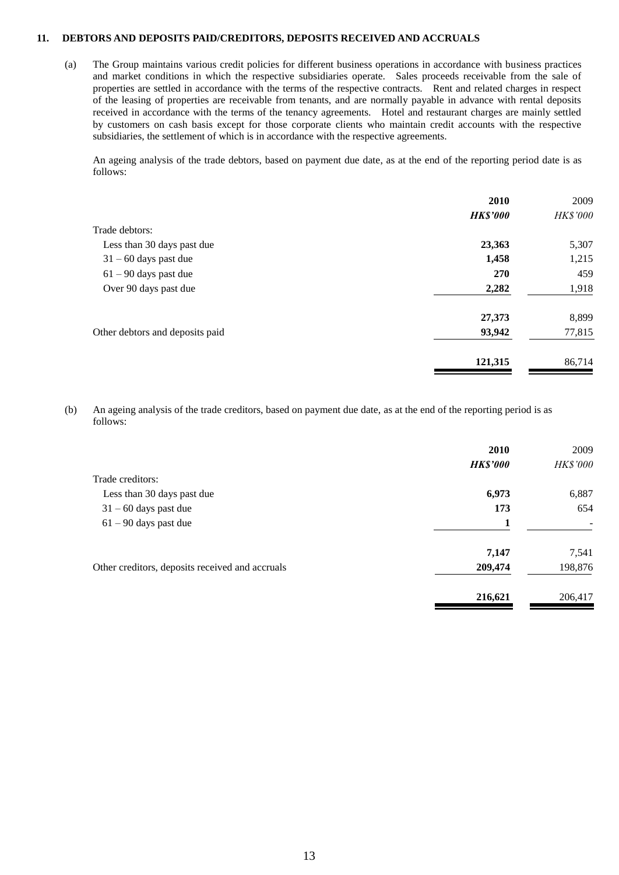#### **11. DEBTORS AND DEPOSITS PAID/CREDITORS, DEPOSITS RECEIVED AND ACCRUALS**

(a) The Group maintains various credit policies for different business operations in accordance with business practices and market conditions in which the respective subsidiaries operate. Sales proceeds receivable from the sale of properties are settled in accordance with the terms of the respective contracts. Rent and related charges in respect of the leasing of properties are receivable from tenants, and are normally payable in advance with rental deposits received in accordance with the terms of the tenancy agreements. Hotel and restaurant charges are mainly settled by customers on cash basis except for those corporate clients who maintain credit accounts with the respective subsidiaries, the settlement of which is in accordance with the respective agreements.

An ageing analysis of the trade debtors, based on payment due date, as at the end of the reporting period date is as follows:

|                                 | 2010            | 2009     |
|---------------------------------|-----------------|----------|
|                                 | <b>HK\$'000</b> | HK\$'000 |
| Trade debtors:                  |                 |          |
| Less than 30 days past due      | 23,363          | 5,307    |
| $31 - 60$ days past due         | 1,458           | 1,215    |
| $61 - 90$ days past due         | 270             | 459      |
| Over 90 days past due           | 2,282           | 1,918    |
|                                 | 27,373          | 8,899    |
| Other debtors and deposits paid | 93,942          | 77,815   |
|                                 | 121,315         | 86,714   |
|                                 |                 |          |

(b) An ageing analysis of the trade creditors, based on payment due date, as at the end of the reporting period is as follows:

|                                                 | 2010            | 2009     |
|-------------------------------------------------|-----------------|----------|
|                                                 | <b>HK\$'000</b> | HK\$'000 |
| Trade creditors:                                |                 |          |
| Less than 30 days past due                      | 6,973           | 6,887    |
| $31 - 60$ days past due                         | 173             | 654      |
| $61 - 90$ days past due                         |                 | -        |
|                                                 | 7,147           | 7,541    |
| Other creditors, deposits received and accruals | 209,474         | 198,876  |
|                                                 | 216,621         | 206,417  |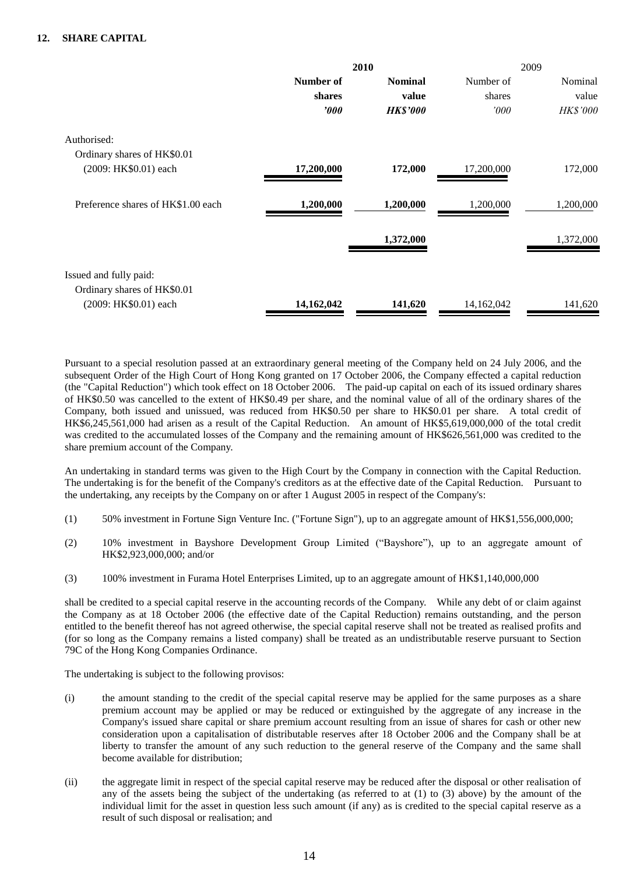#### **12. SHARE CAPITAL**

|                                    | 2010             |                 | 2009       |           |
|------------------------------------|------------------|-----------------|------------|-----------|
|                                    | Number of        | <b>Nominal</b>  | Number of  | Nominal   |
|                                    | shares           | value           | shares     | value     |
|                                    | $\boldsymbol{v}$ | <b>HK\$'000</b> | 000'       | HK\$'000  |
| Authorised:                        |                  |                 |            |           |
| Ordinary shares of HK\$0.01        |                  |                 |            |           |
| (2009: HK\$0.01) each              | 17,200,000       | 172,000         | 17,200,000 | 172,000   |
| Preference shares of HK\$1.00 each | 1,200,000        | 1,200,000       | 1,200,000  | 1,200,000 |
|                                    |                  | 1,372,000       |            | 1,372,000 |
| Issued and fully paid:             |                  |                 |            |           |
| Ordinary shares of HK\$0.01        |                  |                 |            |           |
| (2009: HK\$0.01) each              | 14,162,042       | 141,620         | 14,162,042 | 141,620   |

Pursuant to a special resolution passed at an extraordinary general meeting of the Company held on 24 July 2006, and the subsequent Order of the High Court of Hong Kong granted on 17 October 2006, the Company effected a capital reduction (the "Capital Reduction") which took effect on 18 October 2006. The paid-up capital on each of its issued ordinary shares of HK\$0.50 was cancelled to the extent of HK\$0.49 per share, and the nominal value of all of the ordinary shares of the Company, both issued and unissued, was reduced from HK\$0.50 per share to HK\$0.01 per share. A total credit of HK\$6,245,561,000 had arisen as a result of the Capital Reduction. An amount of HK\$5,619,000,000 of the total credit was credited to the accumulated losses of the Company and the remaining amount of HK\$626,561,000 was credited to the share premium account of the Company.

An undertaking in standard terms was given to the High Court by the Company in connection with the Capital Reduction. The undertaking is for the benefit of the Company's creditors as at the effective date of the Capital Reduction. Pursuant to the undertaking, any receipts by the Company on or after 1 August 2005 in respect of the Company's:

- (1) 50% investment in Fortune Sign Venture Inc. ("Fortune Sign"), up to an aggregate amount of HK\$1,556,000,000;
- (2) 10% investment in Bayshore Development Group Limited ("Bayshore"), up to an aggregate amount of HK\$2,923,000,000; and/or
- (3) 100% investment in Furama Hotel Enterprises Limited, up to an aggregate amount of HK\$1,140,000,000

shall be credited to a special capital reserve in the accounting records of the Company. While any debt of or claim against the Company as at 18 October 2006 (the effective date of the Capital Reduction) remains outstanding, and the person entitled to the benefit thereof has not agreed otherwise, the special capital reserve shall not be treated as realised profits and (for so long as the Company remains a listed company) shall be treated as an undistributable reserve pursuant to Section 79C of the Hong Kong Companies Ordinance.

The undertaking is subject to the following provisos:

- (i) the amount standing to the credit of the special capital reserve may be applied for the same purposes as a share premium account may be applied or may be reduced or extinguished by the aggregate of any increase in the Company's issued share capital or share premium account resulting from an issue of shares for cash or other new consideration upon a capitalisation of distributable reserves after 18 October 2006 and the Company shall be at liberty to transfer the amount of any such reduction to the general reserve of the Company and the same shall become available for distribution;
- (ii) the aggregate limit in respect of the special capital reserve may be reduced after the disposal or other realisation of any of the assets being the subject of the undertaking (as referred to at (1) to (3) above) by the amount of the individual limit for the asset in question less such amount (if any) as is credited to the special capital reserve as a result of such disposal or realisation; and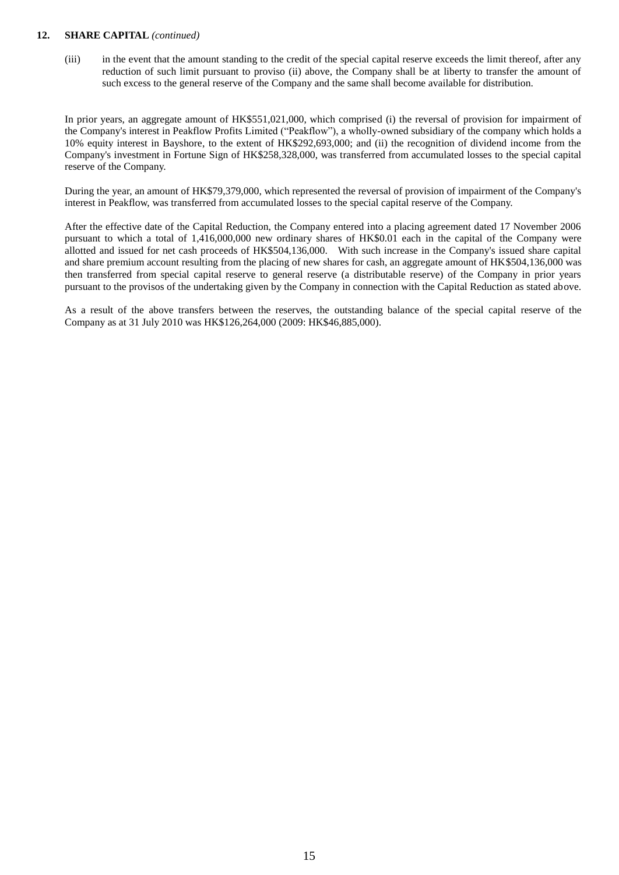#### **12. SHARE CAPITAL** *(continued)*

(iii) in the event that the amount standing to the credit of the special capital reserve exceeds the limit thereof, after any reduction of such limit pursuant to proviso (ii) above, the Company shall be at liberty to transfer the amount of such excess to the general reserve of the Company and the same shall become available for distribution.

In prior years, an aggregate amount of HK\$551,021,000, which comprised (i) the reversal of provision for impairment of the Company's interest in Peakflow Profits Limited ("Peakflow"), a wholly-owned subsidiary of the company which holds a 10% equity interest in Bayshore, to the extent of HK\$292,693,000; and (ii) the recognition of dividend income from the Company's investment in Fortune Sign of HK\$258,328,000, was transferred from accumulated losses to the special capital reserve of the Company.

During the year, an amount of HK\$79,379,000, which represented the reversal of provision of impairment of the Company's interest in Peakflow, was transferred from accumulated losses to the special capital reserve of the Company.

After the effective date of the Capital Reduction, the Company entered into a placing agreement dated 17 November 2006 pursuant to which a total of 1,416,000,000 new ordinary shares of HK\$0.01 each in the capital of the Company were allotted and issued for net cash proceeds of HK\$504,136,000. With such increase in the Company's issued share capital and share premium account resulting from the placing of new shares for cash, an aggregate amount of HK\$504,136,000 was then transferred from special capital reserve to general reserve (a distributable reserve) of the Company in prior years pursuant to the provisos of the undertaking given by the Company in connection with the Capital Reduction as stated above.

As a result of the above transfers between the reserves, the outstanding balance of the special capital reserve of the Company as at 31 July 2010 was HK\$126,264,000 (2009: HK\$46,885,000).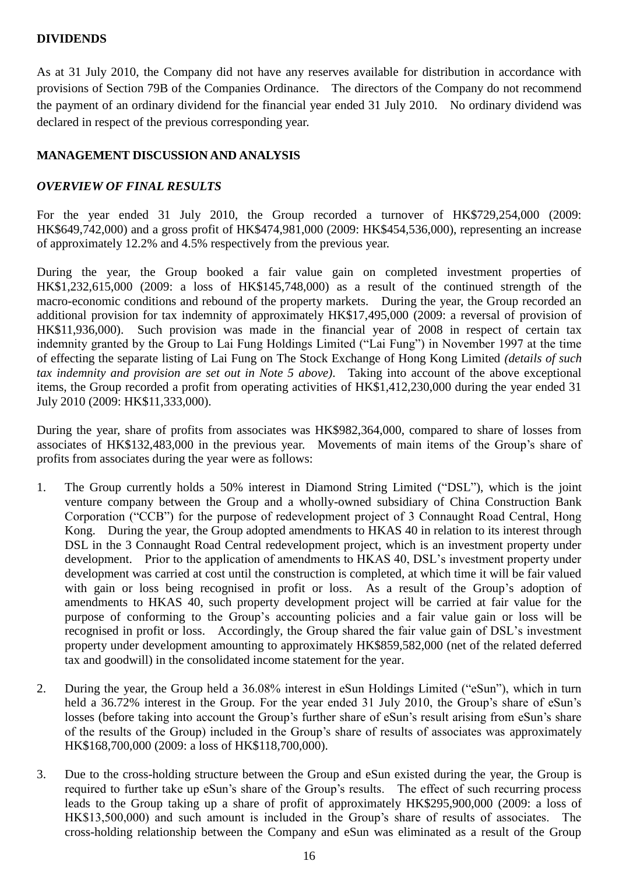# **DIVIDENDS**

As at 31 July 2010, the Company did not have any reserves available for distribution in accordance with provisions of Section 79B of the Companies Ordinance. The directors of the Company do not recommend the payment of an ordinary dividend for the financial year ended 31 July 2010. No ordinary dividend was declared in respect of the previous corresponding year.

# **MANAGEMENT DISCUSSION AND ANALYSIS**

# *OVERVIEW OF FINAL RESULTS*

For the year ended 31 July 2010, the Group recorded a turnover of HK\$729,254,000 (2009: HK\$649,742,000) and a gross profit of HK\$474,981,000 (2009: HK\$454,536,000), representing an increase of approximately 12.2% and 4.5% respectively from the previous year.

During the year, the Group booked a fair value gain on completed investment properties of HK\$1,232,615,000 (2009: a loss of HK\$145,748,000) as a result of the continued strength of the macro-economic conditions and rebound of the property markets. During the year, the Group recorded an additional provision for tax indemnity of approximately HK\$17,495,000 (2009: a reversal of provision of HK\$11,936,000). Such provision was made in the financial year of 2008 in respect of certain tax indemnity granted by the Group to Lai Fung Holdings Limited ("Lai Fung") in November 1997 at the time of effecting the separate listing of Lai Fung on The Stock Exchange of Hong Kong Limited *(details of such tax indemnity and provision are set out in Note 5 above)*. Taking into account of the above exceptional items, the Group recorded a profit from operating activities of HK\$1,412,230,000 during the year ended 31 July 2010 (2009: HK\$11,333,000).

During the year, share of profits from associates was HK\$982,364,000, compared to share of losses from associates of HK\$132,483,000 in the previous year. Movements of main items of the Group's share of profits from associates during the year were as follows:

- 1. The Group currently holds a 50% interest in Diamond String Limited ("DSL"), which is the joint venture company between the Group and a wholly-owned subsidiary of China Construction Bank Corporation ("CCB") for the purpose of redevelopment project of 3 Connaught Road Central, Hong Kong. During the year, the Group adopted amendments to HKAS 40 in relation to its interest through DSL in the 3 Connaught Road Central redevelopment project, which is an investment property under development. Prior to the application of amendments to HKAS 40, DSL's investment property under development was carried at cost until the construction is completed, at which time it will be fair valued with gain or loss being recognised in profit or loss. As a result of the Group's adoption of amendments to HKAS 40, such property development project will be carried at fair value for the purpose of conforming to the Group's accounting policies and a fair value gain or loss will be recognised in profit or loss. Accordingly, the Group shared the fair value gain of DSL's investment property under development amounting to approximately HK\$859,582,000 (net of the related deferred tax and goodwill) in the consolidated income statement for the year.
- 2. During the year, the Group held a 36.08% interest in eSun Holdings Limited ("eSun"), which in turn held a 36.72% interest in the Group. For the year ended 31 July 2010, the Group's share of eSun's losses (before taking into account the Group's further share of eSun's result arising from eSun's share of the results of the Group) included in the Group's share of results of associates was approximately HK\$168,700,000 (2009: a loss of HK\$118,700,000).
- 3. Due to the cross-holding structure between the Group and eSun existed during the year, the Group is required to further take up eSun's share of the Group's results. The effect of such recurring process leads to the Group taking up a share of profit of approximately HK\$295,900,000 (2009: a loss of HK\$13,500,000) and such amount is included in the Group's share of results of associates. The cross-holding relationship between the Company and eSun was eliminated as a result of the Group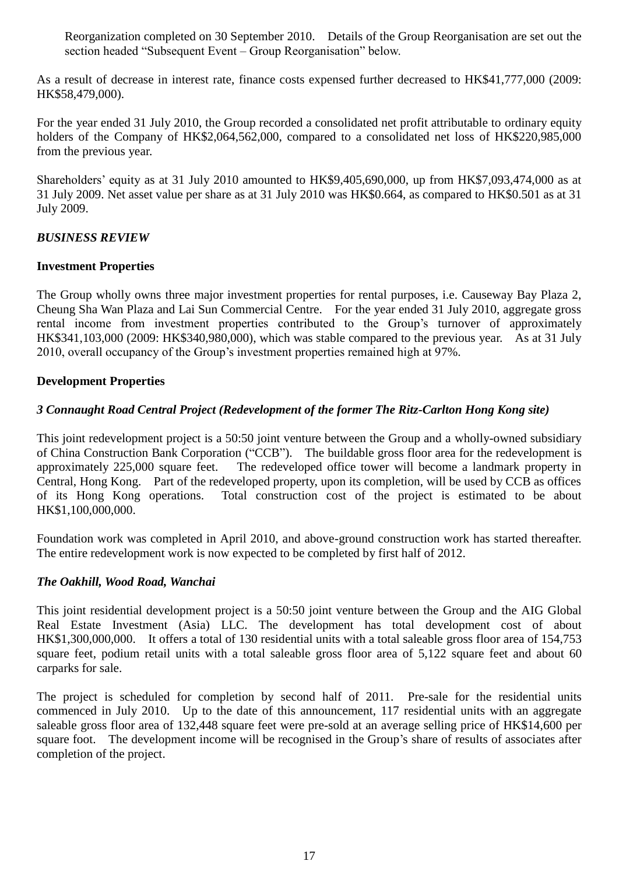Reorganization completed on 30 September 2010. Details of the Group Reorganisation are set out the section headed "Subsequent Event – Group Reorganisation" below.

As a result of decrease in interest rate, finance costs expensed further decreased to HK\$41,777,000 (2009: HK\$58,479,000).

For the year ended 31 July 2010, the Group recorded a consolidated net profit attributable to ordinary equity holders of the Company of HK\$2,064,562,000, compared to a consolidated net loss of HK\$220,985,000 from the previous year.

Shareholders' equity as at 31 July 2010 amounted to HK\$9,405,690,000, up from HK\$7,093,474,000 as at 31 July 2009. Net asset value per share as at 31 July 2010 was HK\$0.664, as compared to HK\$0.501 as at 31 July 2009.

## *BUSINESS REVIEW*

## **Investment Properties**

The Group wholly owns three major investment properties for rental purposes, i.e. Causeway Bay Plaza 2, Cheung Sha Wan Plaza and Lai Sun Commercial Centre. For the year ended 31 July 2010, aggregate gross rental income from investment properties contributed to the Group's turnover of approximately HK\$341,103,000 (2009: HK\$340,980,000), which was stable compared to the previous year. As at 31 July 2010, overall occupancy of the Group's investment properties remained high at 97%.

## **Development Properties**

## *3 Connaught Road Central Project (Redevelopment of the former The Ritz-Carlton Hong Kong site)*

This joint redevelopment project is a 50:50 joint venture between the Group and a wholly-owned subsidiary of China Construction Bank Corporation ("CCB"). The buildable gross floor area for the redevelopment is approximately 225,000 square feet. The redeveloped office tower will become a landmark property in Central, Hong Kong. Part of the redeveloped property, upon its completion, will be used by CCB as offices of its Hong Kong operations. Total construction cost of the project is estimated to be about HK\$1,100,000,000.

Foundation work was completed in April 2010, and above-ground construction work has started thereafter. The entire redevelopment work is now expected to be completed by first half of 2012.

## *The Oakhill, Wood Road, Wanchai*

This joint residential development project is a 50:50 joint venture between the Group and the AIG Global Real Estate Investment (Asia) LLC. The development has total development cost of about HK\$1,300,000,000. It offers a total of 130 residential units with a total saleable gross floor area of 154,753 square feet, podium retail units with a total saleable gross floor area of 5,122 square feet and about 60 carparks for sale.

The project is scheduled for completion by second half of 2011. Pre-sale for the residential units commenced in July 2010. Up to the date of this announcement, 117 residential units with an aggregate saleable gross floor area of 132,448 square feet were pre-sold at an average selling price of HK\$14,600 per square foot. The development income will be recognised in the Group's share of results of associates after completion of the project.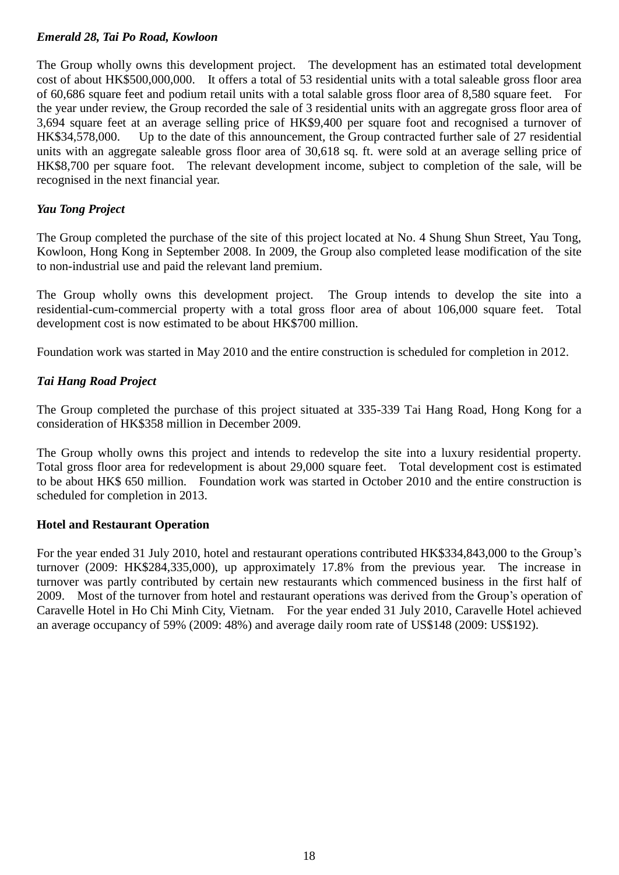# *Emerald 28, Tai Po Road, Kowloon*

The Group wholly owns this development project. The development has an estimated total development cost of about HK\$500,000,000. It offers a total of 53 residential units with a total saleable gross floor area of 60,686 square feet and podium retail units with a total salable gross floor area of 8,580 square feet. For the year under review, the Group recorded the sale of 3 residential units with an aggregate gross floor area of 3,694 square feet at an average selling price of HK\$9,400 per square foot and recognised a turnover of HK\$34,578,000. Up to the date of this announcement, the Group contracted further sale of 27 residential units with an aggregate saleable gross floor area of 30,618 sq. ft. were sold at an average selling price of HK\$8,700 per square foot. The relevant development income, subject to completion of the sale, will be recognised in the next financial year.

# *Yau Tong Project*

The Group completed the purchase of the site of this project located at No. 4 Shung Shun Street, Yau Tong, Kowloon, Hong Kong in September 2008. In 2009, the Group also completed lease modification of the site to non-industrial use and paid the relevant land premium.

The Group wholly owns this development project. The Group intends to develop the site into a residential-cum-commercial property with a total gross floor area of about 106,000 square feet. Total development cost is now estimated to be about HK\$700 million.

Foundation work was started in May 2010 and the entire construction is scheduled for completion in 2012.

# *Tai Hang Road Project*

The Group completed the purchase of this project situated at 335-339 Tai Hang Road, Hong Kong for a consideration of HK\$358 million in December 2009.

The Group wholly owns this project and intends to redevelop the site into a luxury residential property. Total gross floor area for redevelopment is about 29,000 square feet. Total development cost is estimated to be about HK\$ 650 million. Foundation work was started in October 2010 and the entire construction is scheduled for completion in 2013.

# **Hotel and Restaurant Operation**

For the year ended 31 July 2010, hotel and restaurant operations contributed HK\$334,843,000 to the Group's turnover (2009: HK\$284,335,000), up approximately 17.8% from the previous year. The increase in turnover was partly contributed by certain new restaurants which commenced business in the first half of 2009. Most of the turnover from hotel and restaurant operations was derived from the Group's operation of Caravelle Hotel in Ho Chi Minh City, Vietnam. For the year ended 31 July 2010, Caravelle Hotel achieved an average occupancy of 59% (2009: 48%) and average daily room rate of US\$148 (2009: US\$192).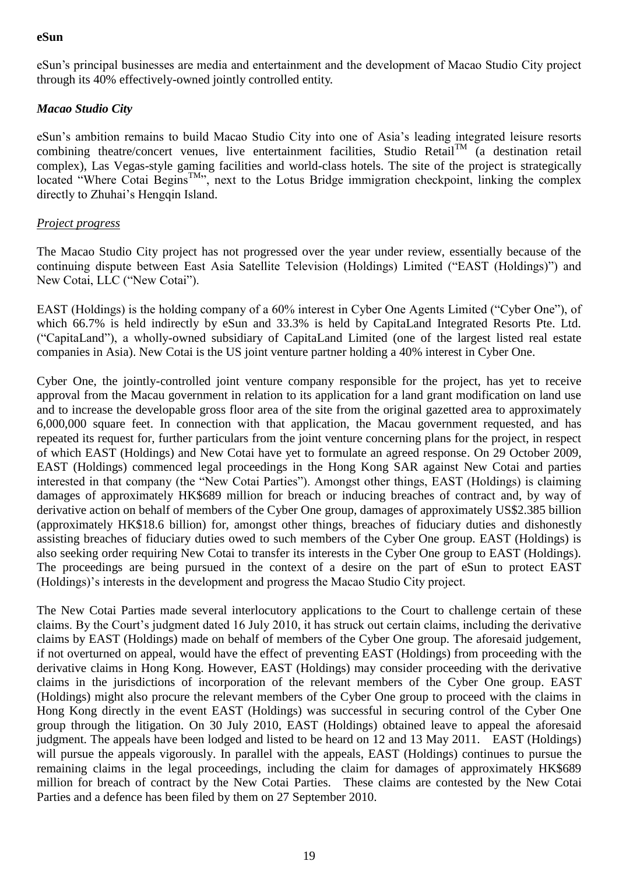## **eSun**

eSun's principal businesses are media and entertainment and the development of Macao Studio City project through its 40% effectively-owned jointly controlled entity.

## *Macao Studio City*

eSun's ambition remains to build Macao Studio City into one of Asia's leading integrated leisure resorts combining theatre/concert venues, live entertainment facilities, Studio Retail<sup>TM</sup> (a destination retail complex), Las Vegas-style gaming facilities and world-class hotels. The site of the project is strategically located "Where Cotai Begins<sup>TM</sup>", next to the Lotus Bridge immigration checkpoint, linking the complex directly to Zhuhai's Hengqin Island.

## *Project progress*

The Macao Studio City project has not progressed over the year under review, essentially because of the continuing dispute between East Asia Satellite Television (Holdings) Limited ("EAST (Holdings)") and New Cotai, LLC ("New Cotai").

EAST (Holdings) is the holding company of a 60% interest in Cyber One Agents Limited ("Cyber One"), of which 66.7% is held indirectly by eSun and 33.3% is held by CapitaLand Integrated Resorts Pte. Ltd. ("CapitaLand"), a wholly-owned subsidiary of CapitaLand Limited (one of the largest listed real estate companies in Asia). New Cotai is the US joint venture partner holding a 40% interest in Cyber One.

Cyber One, the jointly-controlled joint venture company responsible for the project, has yet to receive approval from the Macau government in relation to its application for a land grant modification on land use and to increase the developable gross floor area of the site from the original gazetted area to approximately 6,000,000 square feet. In connection with that application, the Macau government requested, and has repeated its request for, further particulars from the joint venture concerning plans for the project, in respect of which EAST (Holdings) and New Cotai have yet to formulate an agreed response. On 29 October 2009, EAST (Holdings) commenced legal proceedings in the Hong Kong SAR against New Cotai and parties interested in that company (the "New Cotai Parties"). Amongst other things, EAST (Holdings) is claiming damages of approximately HK\$689 million for breach or inducing breaches of contract and, by way of derivative action on behalf of members of the Cyber One group, damages of approximately US\$2.385 billion (approximately HK\$18.6 billion) for, amongst other things, breaches of fiduciary duties and dishonestly assisting breaches of fiduciary duties owed to such members of the Cyber One group. EAST (Holdings) is also seeking order requiring New Cotai to transfer its interests in the Cyber One group to EAST (Holdings). The proceedings are being pursued in the context of a desire on the part of eSun to protect EAST (Holdings)'s interests in the development and progress the Macao Studio City project.

The New Cotai Parties made several interlocutory applications to the Court to challenge certain of these claims. By the Court's judgment dated 16 July 2010, it has struck out certain claims, including the derivative claims by EAST (Holdings) made on behalf of members of the Cyber One group. The aforesaid judgement, if not overturned on appeal, would have the effect of preventing EAST (Holdings) from proceeding with the derivative claims in Hong Kong. However, EAST (Holdings) may consider proceeding with the derivative claims in the jurisdictions of incorporation of the relevant members of the Cyber One group. EAST (Holdings) might also procure the relevant members of the Cyber One group to proceed with the claims in Hong Kong directly in the event EAST (Holdings) was successful in securing control of the Cyber One group through the litigation. On 30 July 2010, EAST (Holdings) obtained leave to appeal the aforesaid judgment. The appeals have been lodged and listed to be heard on 12 and 13 May 2011. EAST (Holdings) will pursue the appeals vigorously. In parallel with the appeals, EAST (Holdings) continues to pursue the remaining claims in the legal proceedings, including the claim for damages of approximately HK\$689 million for breach of contract by the New Cotai Parties. These claims are contested by the New Cotai Parties and a defence has been filed by them on 27 September 2010.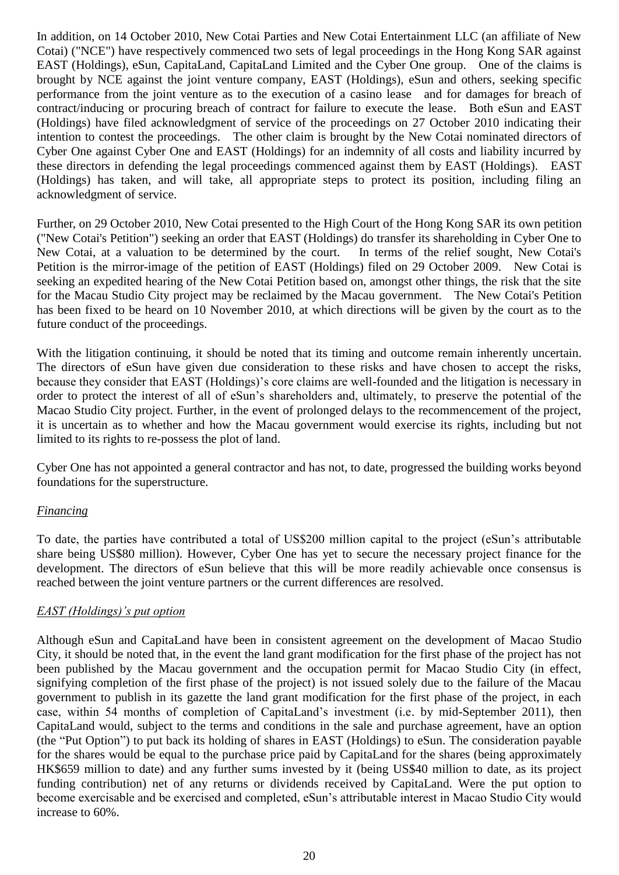In addition, on 14 October 2010, New Cotai Parties and New Cotai Entertainment LLC (an affiliate of New Cotai) ("NCE") have respectively commenced two sets of legal proceedings in the Hong Kong SAR against EAST (Holdings), eSun, CapitaLand, CapitaLand Limited and the Cyber One group. One of the claims is brought by NCE against the joint venture company, EAST (Holdings), eSun and others, seeking specific performance from the joint venture as to the execution of a casino lease and for damages for breach of contract/inducing or procuring breach of contract for failure to execute the lease. Both eSun and EAST (Holdings) have filed acknowledgment of service of the proceedings on 27 October 2010 indicating their intention to contest the proceedings. The other claim is brought by the New Cotai nominated directors of Cyber One against Cyber One and EAST (Holdings) for an indemnity of all costs and liability incurred by these directors in defending the legal proceedings commenced against them by EAST (Holdings). EAST (Holdings) has taken, and will take, all appropriate steps to protect its position, including filing an acknowledgment of service.

Further, on 29 October 2010, New Cotai presented to the High Court of the Hong Kong SAR its own petition ("New Cotai's Petition") seeking an order that EAST (Holdings) do transfer its shareholding in Cyber One to New Cotai, at a valuation to be determined by the court. In terms of the relief sought, New Cotai's Petition is the mirror-image of the petition of EAST (Holdings) filed on 29 October 2009. New Cotai is seeking an expedited hearing of the New Cotai Petition based on, amongst other things, the risk that the site for the Macau Studio City project may be reclaimed by the Macau government. The New Cotai's Petition has been fixed to be heard on 10 November 2010, at which directions will be given by the court as to the future conduct of the proceedings.

With the litigation continuing, it should be noted that its timing and outcome remain inherently uncertain. The directors of eSun have given due consideration to these risks and have chosen to accept the risks, because they consider that EAST (Holdings)'s core claims are well-founded and the litigation is necessary in order to protect the interest of all of eSun's shareholders and, ultimately, to preserve the potential of the Macao Studio City project. Further, in the event of prolonged delays to the recommencement of the project, it is uncertain as to whether and how the Macau government would exercise its rights, including but not limited to its rights to re-possess the plot of land.

Cyber One has not appointed a general contractor and has not, to date, progressed the building works beyond foundations for the superstructure.

## *Financing*

To date, the parties have contributed a total of US\$200 million capital to the project (eSun's attributable share being US\$80 million). However, Cyber One has yet to secure the necessary project finance for the development. The directors of eSun believe that this will be more readily achievable once consensus is reached between the joint venture partners or the current differences are resolved.

## *EAST (Holdings)'s put option*

Although eSun and CapitaLand have been in consistent agreement on the development of Macao Studio City, it should be noted that, in the event the land grant modification for the first phase of the project has not been published by the Macau government and the occupation permit for Macao Studio City (in effect, signifying completion of the first phase of the project) is not issued solely due to the failure of the Macau government to publish in its gazette the land grant modification for the first phase of the project, in each case, within 54 months of completion of CapitaLand's investment (i.e. by mid-September 2011), then CapitaLand would, subject to the terms and conditions in the sale and purchase agreement, have an option (the "Put Option") to put back its holding of shares in EAST (Holdings) to eSun. The consideration payable for the shares would be equal to the purchase price paid by CapitaLand for the shares (being approximately HK\$659 million to date) and any further sums invested by it (being US\$40 million to date, as its project funding contribution) net of any returns or dividends received by CapitaLand. Were the put option to become exercisable and be exercised and completed, eSun's attributable interest in Macao Studio City would increase to 60%.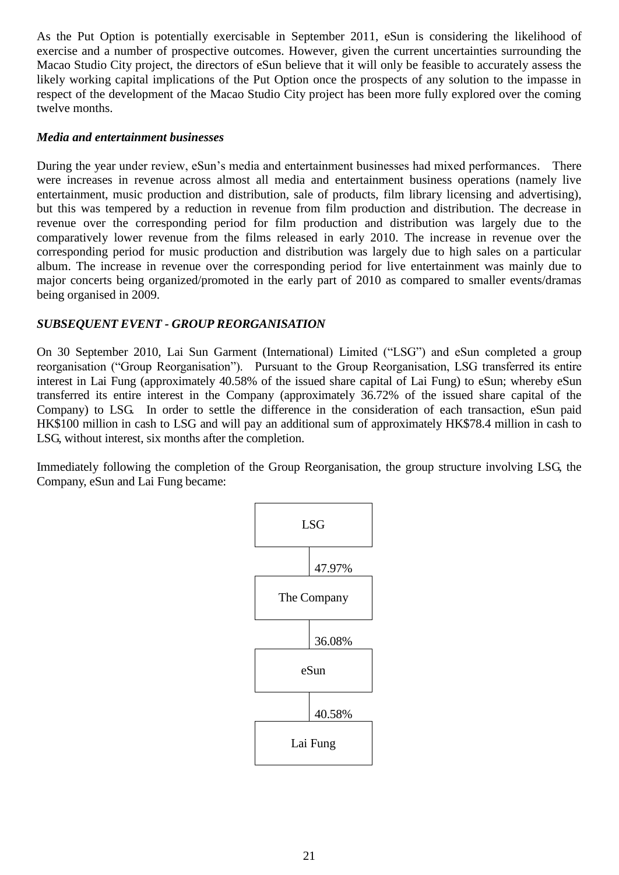As the Put Option is potentially exercisable in September 2011, eSun is considering the likelihood of exercise and a number of prospective outcomes. However, given the current uncertainties surrounding the Macao Studio City project, the directors of eSun believe that it will only be feasible to accurately assess the likely working capital implications of the Put Option once the prospects of any solution to the impasse in respect of the development of the Macao Studio City project has been more fully explored over the coming twelve months.

## *Media and entertainment businesses*

During the year under review, eSun's media and entertainment businesses had mixed performances. There were increases in revenue across almost all media and entertainment business operations (namely live entertainment, music production and distribution, sale of products, film library licensing and advertising), but this was tempered by a reduction in revenue from film production and distribution. The decrease in revenue over the corresponding period for film production and distribution was largely due to the comparatively lower revenue from the films released in early 2010. The increase in revenue over the corresponding period for music production and distribution was largely due to high sales on a particular album. The increase in revenue over the corresponding period for live entertainment was mainly due to major concerts being organized/promoted in the early part of 2010 as compared to smaller events/dramas being organised in 2009.

# *SUBSEQUENT EVENT - GROUP REORGANISATION*

On 30 September 2010, Lai Sun Garment (International) Limited ("LSG") and eSun completed a group reorganisation ("Group Reorganisation"). Pursuant to the Group Reorganisation, LSG transferred its entire interest in Lai Fung (approximately 40.58% of the issued share capital of Lai Fung) to eSun; whereby eSun transferred its entire interest in the Company (approximately 36.72% of the issued share capital of the Company) to LSG. In order to settle the difference in the consideration of each transaction, eSun paid HK\$100 million in cash to LSG and will pay an additional sum of approximately HK\$78.4 million in cash to LSG, without interest, six months after the completion.

Immediately following the completion of the Group Reorganisation, the group structure involving LSG, the Company, eSun and Lai Fung became:

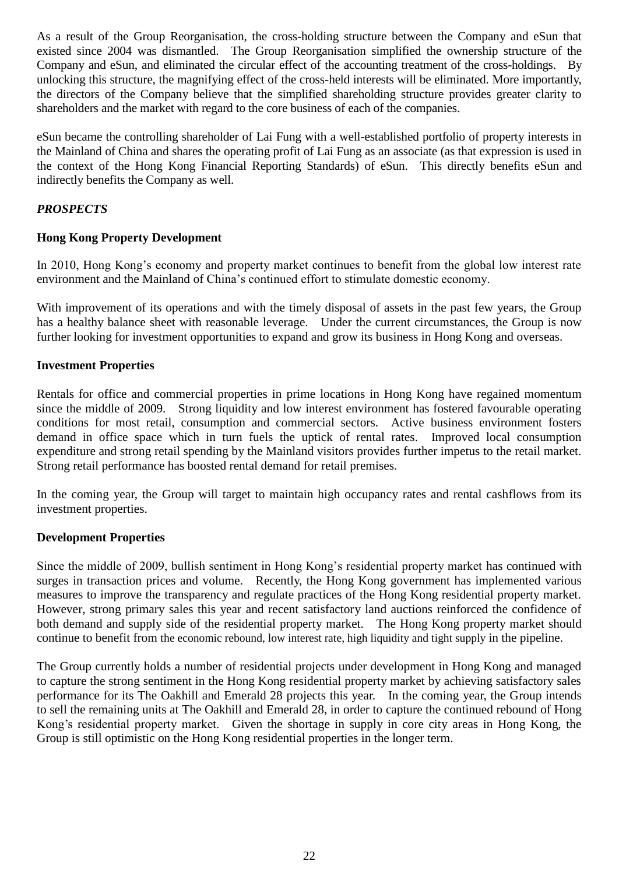As a result of the Group Reorganisation, the cross-holding structure between the Company and eSun that existed since 2004 was dismantled. The Group Reorganisation simplified the ownership structure of the Company and eSun, and eliminated the circular effect of the accounting treatment of the cross-holdings. By unlocking this structure, the magnifying effect of the cross-held interests will be eliminated. More importantly, the directors of the Company believe that the simplified shareholding structure provides greater clarity to shareholders and the market with regard to the core business of each of the companies.

eSun became the controlling shareholder of Lai Fung with a well-established portfolio of property interests in the Mainland of China and shares the operating profit of Lai Fung as an associate (as that expression is used in the context of the Hong Kong Financial Reporting Standards) of eSun. This directly benefits eSun and indirectly benefits the Company as well.

# *PROSPECTS*

# **Hong Kong Property Development**

In 2010, Hong Kong's economy and property market continues to benefit from the global low interest rate environment and the Mainland of China's continued effort to stimulate domestic economy.

With improvement of its operations and with the timely disposal of assets in the past few years, the Group has a healthy balance sheet with reasonable leverage. Under the current circumstances, the Group is now further looking for investment opportunities to expand and grow its business in Hong Kong and overseas.

## **Investment Properties**

Rentals for office and commercial properties in prime locations in Hong Kong have regained momentum since the middle of 2009. Strong liquidity and low interest environment has fostered favourable operating conditions for most retail, consumption and commercial sectors. Active business environment fosters demand in office space which in turn fuels the uptick of rental rates. Improved local consumption expenditure and strong retail spending by the Mainland visitors provides further impetus to the retail market. Strong retail performance has boosted rental demand for retail premises.

In the coming year, the Group will target to maintain high occupancy rates and rental cashflows from its investment properties.

## **Development Properties**

Since the middle of 2009, bullish sentiment in Hong Kong's residential property market has continued with surges in transaction prices and volume. Recently, the Hong Kong government has implemented various measures to improve the transparency and regulate practices of the Hong Kong residential property market. However, strong primary sales this year and recent satisfactory land auctions reinforced the confidence of both demand and supply side of the residential property market. The Hong Kong property market should continue to benefit from the economic rebound, low interest rate, high liquidity and tight supply in the pipeline.

The Group currently holds a number of residential projects under development in Hong Kong and managed to capture the strong sentiment in the Hong Kong residential property market by achieving satisfactory sales performance for its The Oakhill and Emerald 28 projects this year. In the coming year, the Group intends to sell the remaining units at The Oakhill and Emerald 28, in order to capture the continued rebound of Hong Kong's residential property market.Given the shortage in supply in core city areas in Hong Kong, the Group is still optimistic on the Hong Kong residential properties in the longer term.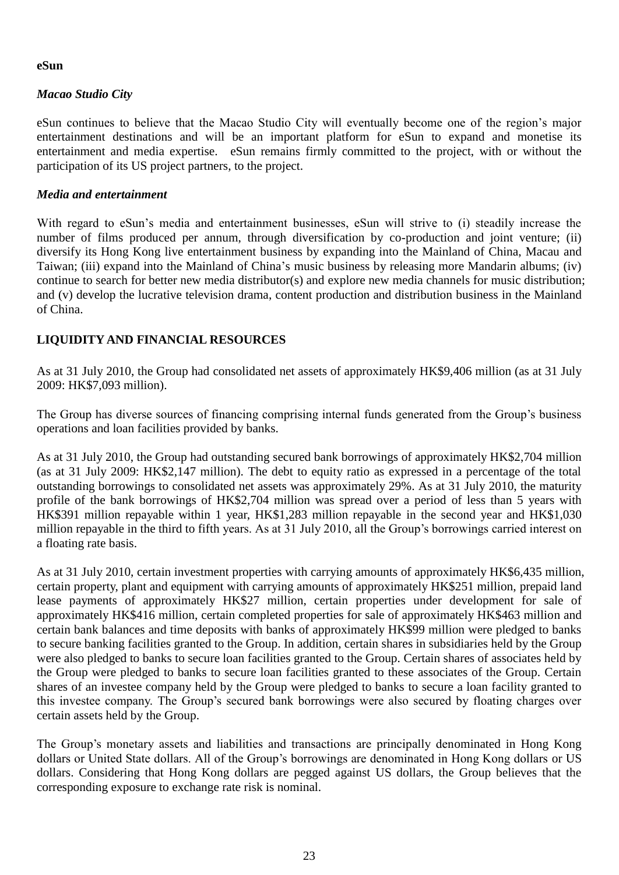## **eSun**

# *Macao Studio City*

eSun continues to believe that the Macao Studio City will eventually become one of the region's major entertainment destinations and will be an important platform for eSun to expand and monetise its entertainment and media expertise. eSun remains firmly committed to the project, with or without the participation of its US project partners, to the project.

## *Media and entertainment*

With regard to eSun's media and entertainment businesses, eSun will strive to (i) steadily increase the number of films produced per annum, through diversification by co-production and joint venture; (ii) diversify its Hong Kong live entertainment business by expanding into the Mainland of China, Macau and Taiwan; (iii) expand into the Mainland of China's music business by releasing more Mandarin albums; (iv) continue to search for better new media distributor(s) and explore new media channels for music distribution; and (v) develop the lucrative television drama, content production and distribution business in the Mainland of China.

# **LIQUIDITY AND FINANCIAL RESOURCES**

As at 31 July 2010, the Group had consolidated net assets of approximately HK\$9,406 million (as at 31 July 2009: HK\$7,093 million).

The Group has diverse sources of financing comprising internal funds generated from the Group's business operations and loan facilities provided by banks.

As at 31 July 2010, the Group had outstanding secured bank borrowings of approximately HK\$2,704 million (as at 31 July 2009: HK\$2,147 million). The debt to equity ratio as expressed in a percentage of the total outstanding borrowings to consolidated net assets was approximately 29%. As at 31 July 2010, the maturity profile of the bank borrowings of HK\$2,704 million was spread over a period of less than 5 years with HK\$391 million repayable within 1 year, HK\$1,283 million repayable in the second year and HK\$1,030 million repayable in the third to fifth years. As at 31 July 2010, all the Group's borrowings carried interest on a floating rate basis.

As at 31 July 2010, certain investment properties with carrying amounts of approximately HK\$6,435 million, certain property, plant and equipment with carrying amounts of approximately HK\$251 million, prepaid land lease payments of approximately HK\$27 million, certain properties under development for sale of approximately HK\$416 million, certain completed properties for sale of approximately HK\$463 million and certain bank balances and time deposits with banks of approximately HK\$99 million were pledged to banks to secure banking facilities granted to the Group. In addition, certain shares in subsidiaries held by the Group were also pledged to banks to secure loan facilities granted to the Group. Certain shares of associates held by the Group were pledged to banks to secure loan facilities granted to these associates of the Group. Certain shares of an investee company held by the Group were pledged to banks to secure a loan facility granted to this investee company. The Group's secured bank borrowings were also secured by floating charges over certain assets held by the Group.

The Group's monetary assets and liabilities and transactions are principally denominated in Hong Kong dollars or United State dollars. All of the Group's borrowings are denominated in Hong Kong dollars or US dollars. Considering that Hong Kong dollars are pegged against US dollars, the Group believes that the corresponding exposure to exchange rate risk is nominal.